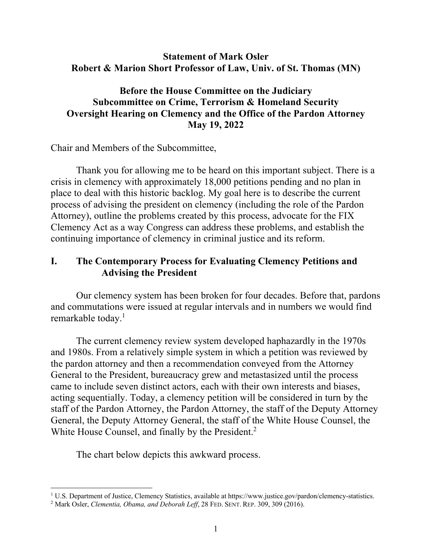## **Statement of Mark Osler Robert & Marion Short Professor of Law, Univ. of St. Thomas (MN)**

## **Before the House Committee on the Judiciary Subcommittee on Crime, Terrorism & Homeland Security Oversight Hearing on Clemency and the Office of the Pardon Attorney May 19, 2022**

Chair and Members of the Subcommittee,

Thank you for allowing me to be heard on this important subject. There is a crisis in clemency with approximately 18,000 petitions pending and no plan in place to deal with this historic backlog. My goal here is to describe the current process of advising the president on clemency (including the role of the Pardon Attorney), outline the problems created by this process, advocate for the FIX Clemency Act as a way Congress can address these problems, and establish the continuing importance of clemency in criminal justice and its reform.

## **I. The Contemporary Process for Evaluating Clemency Petitions and Advising the President**

Our clemency system has been broken for four decades. Before that, pardons and commutations were issued at regular intervals and in numbers we would find remarkable today.<sup>1</sup>

The current clemency review system developed haphazardly in the 1970s and 1980s. From a relatively simple system in which a petition was reviewed by the pardon attorney and then a recommendation conveyed from the Attorney General to the President, bureaucracy grew and metastasized until the process came to include seven distinct actors, each with their own interests and biases, acting sequentially. Today, a clemency petition will be considered in turn by the staff of the Pardon Attorney, the Pardon Attorney, the staff of the Deputy Attorney General, the Deputy Attorney General, the staff of the White House Counsel, the White House Counsel, and finally by the President.<sup>2</sup>

The chart below depicts this awkward process.

<sup>&</sup>lt;sup>1</sup> U.S. Department of Justice, Clemency Statistics, available at https://www.justice.gov/pardon/clemency-statistics.

<sup>2</sup> Mark Osler, *Clementia, Obama, and Deborah Leff*, 28 FED. SENT. REP. 309, 309 (2016).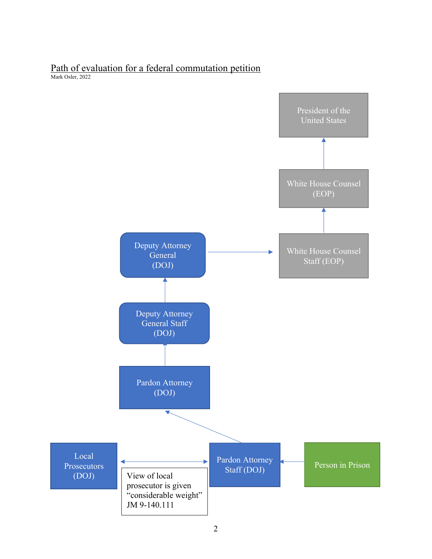# Path of evaluation for a federal commutation petition

Mark Osler, 2022

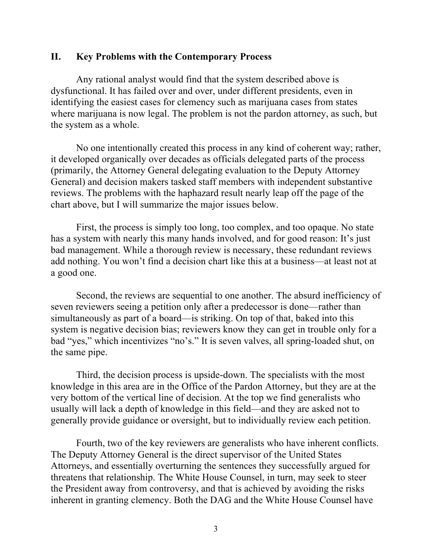### **II. Key Problems with the Contemporary Process**

Any rational analyst would find that the system described above is dysfunctional. It has failed over and over, under different presidents, even in identifying the easiest cases for clemency such as marijuana cases from states where marijuana is now legal. The problem is not the pardon attorney, as such, but the system as a whole.

No one intentionally created this process in any kind of coherent way; rather, it developed organically over decades as officials delegated parts of the process (primarily, the Attorney General delegating evaluation to the Deputy Attorney General) and decision makers tasked staff members with independent substantive reviews. The problems with the haphazard result nearly leap off the page of the chart above, but I will summarize the major issues below.

First, the process is simply too long, too complex, and too opaque. No state has a system with nearly this many hands involved, and for good reason: It's just bad management. While a thorough review is necessary, these redundant reviews add nothing. You won't find a decision chart like this at a business—at least not at a good one.

Second, the reviews are sequential to one another. The absurd inefficiency of seven reviewers seeing a petition only after a predecessor is done—rather than simultaneously as part of a board—is striking. On top of that, baked into this system is negative decision bias; reviewers know they can get in trouble only for a bad "yes," which incentivizes "no's." It is seven valves, all spring-loaded shut, on the same pipe.

Third, the decision process is upside-down. The specialists with the most knowledge in this area are in the Office of the Pardon Attorney, but they are at the very bottom of the vertical line of decision. At the top we find generalists who usually will lack a depth of knowledge in this field—and they are asked not to generally provide guidance or oversight, but to individually review each petition.

Fourth, two of the key reviewers are generalists who have inherent conflicts. The Deputy Attorney General is the direct supervisor of the United States Attorneys, and essentially overturning the sentences they successfully argued for threatens that relationship. The White House Counsel, in turn, may seek to steer the President away from controversy, and that is achieved by avoiding the risks inherent in granting clemency. Both the DAG and the White House Counsel have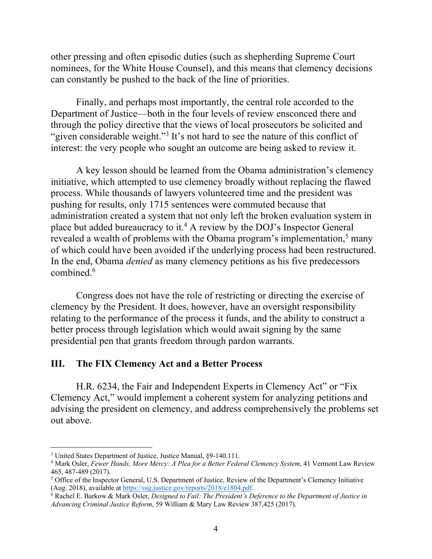other pressing and often episodic duties (such as shepherding Supreme Court nominees, for the White House Counsel), and this means that clemency decisions can constantly be pushed to the back of the line of priorities.

Finally, and perhaps most importantly, the central role accorded to the Department of Justice—both in the four levels of review ensconced there and through the policy directive that the views of local prosecutors be solicited and "given considerable weight."<sup>3</sup> It's not hard to see the nature of this conflict of interest: the very people who sought an outcome are being asked to review it.

A key lesson should be learned from the Obama administration's clemency initiative, which attempted to use clemency broadly without replacing the flawed process. While thousands of lawyers volunteered time and the president was pushing for results, only 1715 sentences were commuted because that administration created a system that not only left the broken evaluation system in place but added bureaucracy to it.4 A review by the DOJ's Inspector General revealed a wealth of problems with the Obama program's implementation, $5$  many of which could have been avoided if the underlying process had been restructured. In the end, Obama *denied* as many clemency petitions as his five predecessors combined.<sup>6</sup>

Congress does not have the role of restricting or directing the exercise of clemency by the President. It does, however, have an oversight responsibility relating to the performance of the process it funds, and the ability to construct a better process through legislation which would await signing by the same presidential pen that grants freedom through pardon warrants.

#### **III. The FIX Clemency Act and a Better Process**

H.R. 6234, the Fair and Independent Experts in Clemency Act" or "Fix Clemency Act," would implement a coherent system for analyzing petitions and advising the president on clemency, and address comprehensively the problems set out above.

<sup>&</sup>lt;sup>3</sup> United States Department of Justice, Justice Manual, §9-140.111.<br><sup>4</sup> Mark Osler, *Fewer Hands, More Mercy: A Plea for a Better Federal Clemency System*, 41 Vermont Law Review 465, 487-489 (2017).

<sup>&</sup>lt;sup>5</sup> Office of the Inspector General, U.S. Department of Justice, Review of the Department's Clemency Initiative (Aug. 2018), available at https://oig.justice.gov/reports/2018/e1804.pdf.

<sup>&</sup>lt;sup>6</sup> Rachel E. Barkow & Mark Osler, *Designed to Fail: The President's Deference to the Department of Justice in Advancing Criminal Justice Reform*, 59 William & Mary Law Review 387,425 (2017).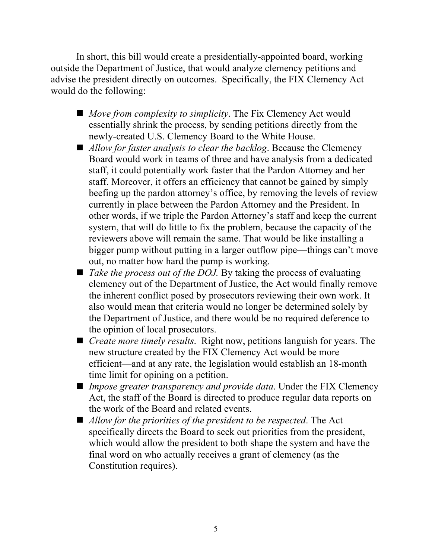In short, this bill would create a presidentially-appointed board, working outside the Department of Justice, that would analyze clemency petitions and advise the president directly on outcomes. Specifically, the FIX Clemency Act would do the following:

- *Move from complexity to simplicity*. The Fix Clemency Act would essentially shrink the process, by sending petitions directly from the newly-created U.S. Clemency Board to the White House.
- *Allow for faster analysis to clear the backlog*. Because the Clemency Board would work in teams of three and have analysis from a dedicated staff, it could potentially work faster that the Pardon Attorney and her staff. Moreover, it offers an efficiency that cannot be gained by simply beefing up the pardon attorney's office, by removing the levels of review currently in place between the Pardon Attorney and the President. In other words, if we triple the Pardon Attorney's staff and keep the current system, that will do little to fix the problem, because the capacity of the reviewers above will remain the same. That would be like installing a bigger pump without putting in a larger outflow pipe—things can't move out, no matter how hard the pump is working.
- *Take the process out of the DOJ*. By taking the process of evaluating clemency out of the Department of Justice, the Act would finally remove the inherent conflict posed by prosecutors reviewing their own work. It also would mean that criteria would no longer be determined solely by the Department of Justice, and there would be no required deference to the opinion of local prosecutors.
- *Create more timely results*. Right now, petitions languish for years. The new structure created by the FIX Clemency Act would be more efficient—and at any rate, the legislation would establish an 18-month time limit for opining on a petition.
- *Impose greater transparency and provide data*. Under the FIX Clemency Act, the staff of the Board is directed to produce regular data reports on the work of the Board and related events.
- *Allow for the priorities of the president to be respected.* The Act specifically directs the Board to seek out priorities from the president, which would allow the president to both shape the system and have the final word on who actually receives a grant of clemency (as the Constitution requires).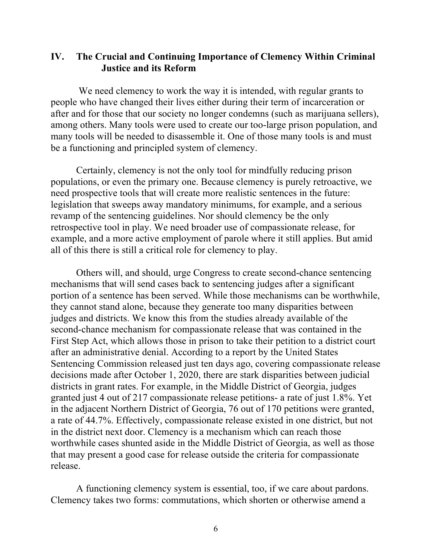## **IV. The Crucial and Continuing Importance of Clemency Within Criminal Justice and its Reform**

We need clemency to work the way it is intended, with regular grants to people who have changed their lives either during their term of incarceration or after and for those that our society no longer condemns (such as marijuana sellers), among others. Many tools were used to create our too-large prison population, and many tools will be needed to disassemble it. One of those many tools is and must be a functioning and principled system of clemency.

Certainly, clemency is not the only tool for mindfully reducing prison populations, or even the primary one. Because clemency is purely retroactive, we need prospective tools that will create more realistic sentences in the future: legislation that sweeps away mandatory minimums, for example, and a serious revamp of the sentencing guidelines. Nor should clemency be the only retrospective tool in play. We need broader use of compassionate release, for example, and a more active employment of parole where it still applies. But amid all of this there is still a critical role for clemency to play.

Others will, and should, urge Congress to create second-chance sentencing mechanisms that will send cases back to sentencing judges after a significant portion of a sentence has been served. While those mechanisms can be worthwhile, they cannot stand alone, because they generate too many disparities between judges and districts. We know this from the studies already available of the second-chance mechanism for compassionate release that was contained in the First Step Act, which allows those in prison to take their petition to a district court after an administrative denial. According to a report by the United States Sentencing Commission released just ten days ago, covering compassionate release decisions made after October 1, 2020, there are stark disparities between judicial districts in grant rates. For example, in the Middle District of Georgia, judges granted just 4 out of 217 compassionate release petitions- a rate of just 1.8%. Yet in the adjacent Northern District of Georgia, 76 out of 170 petitions were granted, a rate of 44.7%. Effectively, compassionate release existed in one district, but not in the district next door. Clemency is a mechanism which can reach those worthwhile cases shunted aside in the Middle District of Georgia, as well as those that may present a good case for release outside the criteria for compassionate release.

A functioning clemency system is essential, too, if we care about pardons. Clemency takes two forms: commutations, which shorten or otherwise amend a